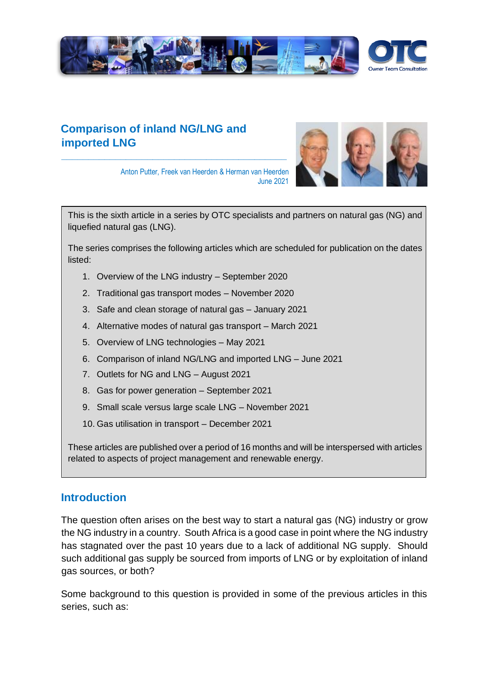

# **Comparison of inland NG/LNG and imported LNG**

**\_\_\_\_\_\_\_\_\_\_\_\_\_\_\_\_\_\_\_\_\_\_\_\_\_\_\_\_\_\_\_\_\_\_\_\_\_\_\_\_\_\_**



Anton Putter, Freek van Heerden & Herman van Heerden June 2021

This is the sixth article in a series by OTC specialists and partners on natural gas (NG) and liquefied natural gas (LNG).

The series comprises the following articles which are scheduled for publication on the dates listed:

- 1. Overview of the LNG industry September 2020
- 2. Traditional gas transport modes November 2020
- 3. Safe and clean storage of natural gas January 2021
- 4. Alternative modes of natural gas transport March 2021
- 5. Overview of LNG technologies May 2021
- 6. Comparison of inland NG/LNG and imported LNG June 2021
- 7. Outlets for NG and LNG August 2021
- 8. Gas for power generation September 2021
- 9. Small scale versus large scale LNG November 2021
- 10. Gas utilisation in transport December 2021

These articles are published over a period of 16 months and will be interspersed with articles related to aspects of project management and renewable energy.

### **Introduction**

The question often arises on the best way to start a natural gas (NG) industry or grow the NG industry in a country. South Africa is a good case in point where the NG industry has stagnated over the past 10 years due to a lack of additional NG supply. Should such additional gas supply be sourced from imports of LNG or by exploitation of inland gas sources, or both?

Some background to this question is provided in some of the previous articles in this series, such as: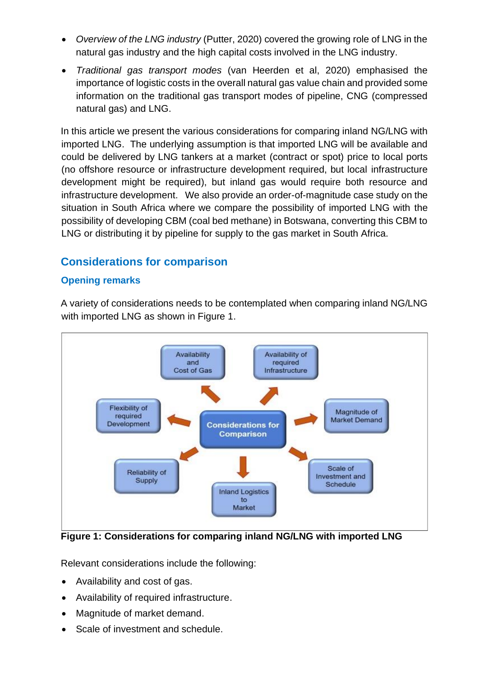- *Overview of the LNG industry* (Putter, 2020) covered the growing role of LNG in the natural gas industry and the high capital costs involved in the LNG industry.
- *Traditional gas transport modes* (van Heerden et al, 2020) emphasised the importance of logistic costs in the overall natural gas value chain and provided some information on the traditional gas transport modes of pipeline, CNG (compressed natural gas) and LNG.

In this article we present the various considerations for comparing inland NG/LNG with imported LNG. The underlying assumption is that imported LNG will be available and could be delivered by LNG tankers at a market (contract or spot) price to local ports (no offshore resource or infrastructure development required, but local infrastructure development might be required), but inland gas would require both resource and infrastructure development. We also provide an order-of-magnitude case study on the situation in South Africa where we compare the possibility of imported LNG with the possibility of developing CBM (coal bed methane) in Botswana, converting this CBM to LNG or distributing it by pipeline for supply to the gas market in South Africa.

# **Considerations for comparison**

### **Opening remarks**

A variety of considerations needs to be contemplated when comparing inland NG/LNG with imported LNG as shown in Figure 1.



**Figure 1: Considerations for comparing inland NG/LNG with imported LNG**

Relevant considerations include the following:

- Availability and cost of gas.
- Availability of required infrastructure.
- Magnitude of market demand.
- Scale of investment and schedule.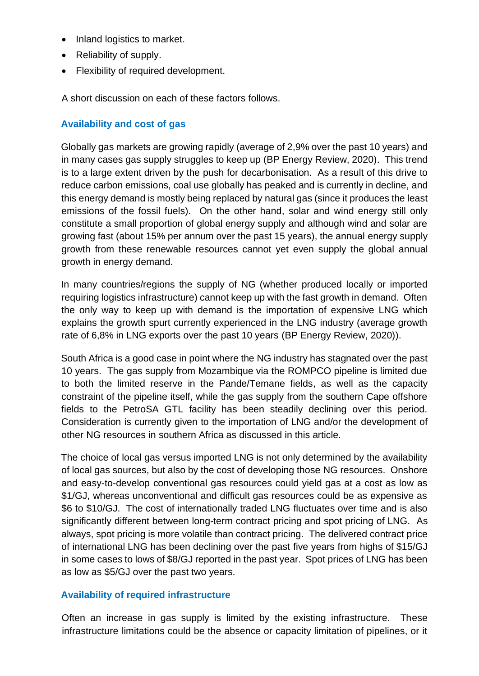- Inland logistics to market.
- Reliability of supply.
- Flexibility of required development.

A short discussion on each of these factors follows.

### **Availability and cost of gas**

Globally gas markets are growing rapidly (average of 2,9% over the past 10 years) and in many cases gas supply struggles to keep up (BP Energy Review, 2020). This trend is to a large extent driven by the push for decarbonisation. As a result of this drive to reduce carbon emissions, coal use globally has peaked and is currently in decline, and this energy demand is mostly being replaced by natural gas (since it produces the least emissions of the fossil fuels). On the other hand, solar and wind energy still only constitute a small proportion of global energy supply and although wind and solar are growing fast (about 15% per annum over the past 15 years), the annual energy supply growth from these renewable resources cannot yet even supply the global annual growth in energy demand.

In many countries/regions the supply of NG (whether produced locally or imported requiring logistics infrastructure) cannot keep up with the fast growth in demand. Often the only way to keep up with demand is the importation of expensive LNG which explains the growth spurt currently experienced in the LNG industry (average growth rate of 6,8% in LNG exports over the past 10 years (BP Energy Review, 2020)).

South Africa is a good case in point where the NG industry has stagnated over the past 10 years. The gas supply from Mozambique via the ROMPCO pipeline is limited due to both the limited reserve in the Pande/Temane fields, as well as the capacity constraint of the pipeline itself, while the gas supply from the southern Cape offshore fields to the PetroSA GTL facility has been steadily declining over this period. Consideration is currently given to the importation of LNG and/or the development of other NG resources in southern Africa as discussed in this article.

The choice of local gas versus imported LNG is not only determined by the availability of local gas sources, but also by the cost of developing those NG resources. Onshore and easy-to-develop conventional gas resources could yield gas at a cost as low as \$1/GJ, whereas unconventional and difficult gas resources could be as expensive as \$6 to \$10/GJ. The cost of internationally traded LNG fluctuates over time and is also significantly different between long-term contract pricing and spot pricing of LNG. As always, spot pricing is more volatile than contract pricing. The delivered contract price of international LNG has been declining over the past five years from highs of \$15/GJ in some cases to lows of \$8/GJ reported in the past year. Spot prices of LNG has been as low as \$5/GJ over the past two years.

### **Availability of required infrastructure**

Often an increase in gas supply is limited by the existing infrastructure. These infrastructure limitations could be the absence or capacity limitation of pipelines, or it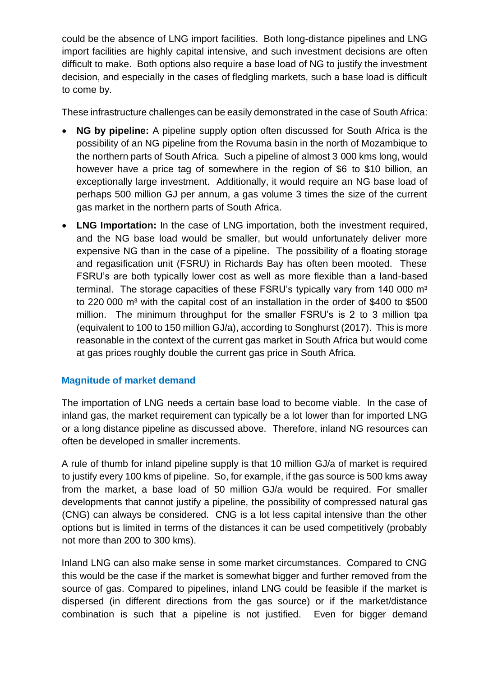could be the absence of LNG import facilities. Both long-distance pipelines and LNG import facilities are highly capital intensive, and such investment decisions are often difficult to make. Both options also require a base load of NG to justify the investment decision, and especially in the cases of fledgling markets, such a base load is difficult to come by.

These infrastructure challenges can be easily demonstrated in the case of South Africa:

- **NG by pipeline:** A pipeline supply option often discussed for South Africa is the possibility of an NG pipeline from the Rovuma basin in the north of Mozambique to the northern parts of South Africa. Such a pipeline of almost 3 000 kms long, would however have a price tag of somewhere in the region of \$6 to \$10 billion, an exceptionally large investment. Additionally, it would require an NG base load of perhaps 500 million GJ per annum, a gas volume 3 times the size of the current gas market in the northern parts of South Africa.
- **LNG Importation:** In the case of LNG importation, both the investment required, and the NG base load would be smaller, but would unfortunately deliver more expensive NG than in the case of a pipeline. The possibility of a floating storage and regasification unit (FSRU) in Richards Bay has often been mooted. These FSRU's are both typically lower cost as well as more flexible than a land-based terminal. The storage capacities of these FSRU's typically vary from 140 000 m<sup>3</sup> to 220 000 m<sup>3</sup> with the capital cost of an installation in the order of \$400 to \$500 million. The minimum throughput for the smaller FSRU's is 2 to 3 million tpa (equivalent to 100 to 150 million GJ/a), according to Songhurst (2017). This is more reasonable in the context of the current gas market in South Africa but would come at gas prices roughly double the current gas price in South Africa.

### **Magnitude of market demand**

The importation of LNG needs a certain base load to become viable. In the case of inland gas, the market requirement can typically be a lot lower than for imported LNG or a long distance pipeline as discussed above. Therefore, inland NG resources can often be developed in smaller increments.

A rule of thumb for inland pipeline supply is that 10 million GJ/a of market is required to justify every 100 kms of pipeline. So, for example, if the gas source is 500 kms away from the market, a base load of 50 million GJ/a would be required. For smaller developments that cannot justify a pipeline, the possibility of compressed natural gas (CNG) can always be considered. CNG is a lot less capital intensive than the other options but is limited in terms of the distances it can be used competitively (probably not more than 200 to 300 kms).

Inland LNG can also make sense in some market circumstances. Compared to CNG this would be the case if the market is somewhat bigger and further removed from the source of gas. Compared to pipelines, inland LNG could be feasible if the market is dispersed (in different directions from the gas source) or if the market/distance combination is such that a pipeline is not justified. Even for bigger demand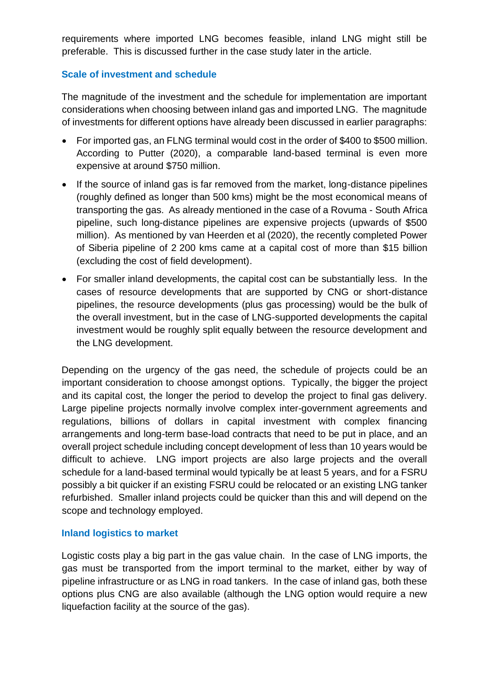requirements where imported LNG becomes feasible, inland LNG might still be preferable. This is discussed further in the case study later in the article.

#### **Scale of investment and schedule**

The magnitude of the investment and the schedule for implementation are important considerations when choosing between inland gas and imported LNG. The magnitude of investments for different options have already been discussed in earlier paragraphs:

- For imported gas, an FLNG terminal would cost in the order of \$400 to \$500 million. According to Putter (2020), a comparable land-based terminal is even more expensive at around \$750 million.
- If the source of inland gas is far removed from the market, long-distance pipelines (roughly defined as longer than 500 kms) might be the most economical means of transporting the gas. As already mentioned in the case of a Rovuma - South Africa pipeline, such long-distance pipelines are expensive projects (upwards of \$500 million). As mentioned by van Heerden et al (2020), the recently completed Power of Siberia pipeline of 2 200 kms came at a capital cost of more than \$15 billion (excluding the cost of field development).
- For smaller inland developments, the capital cost can be substantially less. In the cases of resource developments that are supported by CNG or short-distance pipelines, the resource developments (plus gas processing) would be the bulk of the overall investment, but in the case of LNG-supported developments the capital investment would be roughly split equally between the resource development and the LNG development.

Depending on the urgency of the gas need, the schedule of projects could be an important consideration to choose amongst options. Typically, the bigger the project and its capital cost, the longer the period to develop the project to final gas delivery. Large pipeline projects normally involve complex inter-government agreements and regulations, billions of dollars in capital investment with complex financing arrangements and long-term base-load contracts that need to be put in place, and an overall project schedule including concept development of less than 10 years would be difficult to achieve. LNG import projects are also large projects and the overall schedule for a land-based terminal would typically be at least 5 years, and for a FSRU possibly a bit quicker if an existing FSRU could be relocated or an existing LNG tanker refurbished. Smaller inland projects could be quicker than this and will depend on the scope and technology employed.

#### **Inland logistics to market**

Logistic costs play a big part in the gas value chain. In the case of LNG imports, the gas must be transported from the import terminal to the market, either by way of pipeline infrastructure or as LNG in road tankers. In the case of inland gas, both these options plus CNG are also available (although the LNG option would require a new liquefaction facility at the source of the gas).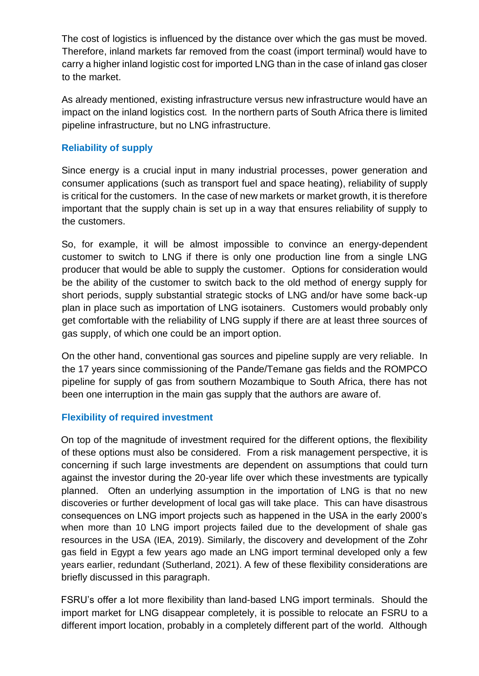The cost of logistics is influenced by the distance over which the gas must be moved. Therefore, inland markets far removed from the coast (import terminal) would have to carry a higher inland logistic cost for imported LNG than in the case of inland gas closer to the market.

As already mentioned, existing infrastructure versus new infrastructure would have an impact on the inland logistics cost. In the northern parts of South Africa there is limited pipeline infrastructure, but no LNG infrastructure.

### **Reliability of supply**

Since energy is a crucial input in many industrial processes, power generation and consumer applications (such as transport fuel and space heating), reliability of supply is critical for the customers. In the case of new markets or market growth, it is therefore important that the supply chain is set up in a way that ensures reliability of supply to the customers.

So, for example, it will be almost impossible to convince an energy-dependent customer to switch to LNG if there is only one production line from a single LNG producer that would be able to supply the customer. Options for consideration would be the ability of the customer to switch back to the old method of energy supply for short periods, supply substantial strategic stocks of LNG and/or have some back-up plan in place such as importation of LNG isotainers. Customers would probably only get comfortable with the reliability of LNG supply if there are at least three sources of gas supply, of which one could be an import option.

On the other hand, conventional gas sources and pipeline supply are very reliable. In the 17 years since commissioning of the Pande/Temane gas fields and the ROMPCO pipeline for supply of gas from southern Mozambique to South Africa, there has not been one interruption in the main gas supply that the authors are aware of.

### **Flexibility of required investment**

On top of the magnitude of investment required for the different options, the flexibility of these options must also be considered. From a risk management perspective, it is concerning if such large investments are dependent on assumptions that could turn against the investor during the 20-year life over which these investments are typically planned. Often an underlying assumption in the importation of LNG is that no new discoveries or further development of local gas will take place. This can have disastrous consequences on LNG import projects such as happened in the USA in the early 2000's when more than 10 LNG import projects failed due to the development of shale gas resources in the USA (IEA, 2019). Similarly, the discovery and development of the Zohr gas field in Egypt a few years ago made an LNG import terminal developed only a few years earlier, redundant (Sutherland, 2021). A few of these flexibility considerations are briefly discussed in this paragraph.

FSRU's offer a lot more flexibility than land-based LNG import terminals. Should the import market for LNG disappear completely, it is possible to relocate an FSRU to a different import location, probably in a completely different part of the world. Although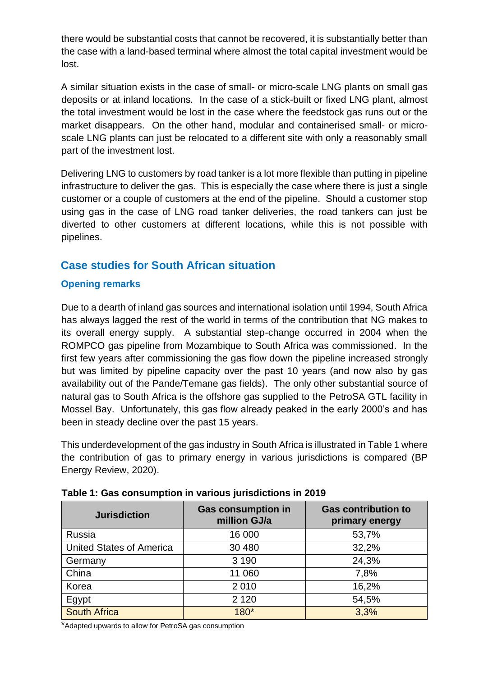there would be substantial costs that cannot be recovered, it is substantially better than the case with a land-based terminal where almost the total capital investment would be lost.

A similar situation exists in the case of small- or micro-scale LNG plants on small gas deposits or at inland locations. In the case of a stick-built or fixed LNG plant, almost the total investment would be lost in the case where the feedstock gas runs out or the market disappears. On the other hand, modular and containerised small- or microscale LNG plants can just be relocated to a different site with only a reasonably small part of the investment lost.

Delivering LNG to customers by road tanker is a lot more flexible than putting in pipeline infrastructure to deliver the gas. This is especially the case where there is just a single customer or a couple of customers at the end of the pipeline. Should a customer stop using gas in the case of LNG road tanker deliveries, the road tankers can just be diverted to other customers at different locations, while this is not possible with pipelines.

# **Case studies for South African situation**

## **Opening remarks**

Due to a dearth of inland gas sources and international isolation until 1994, South Africa has always lagged the rest of the world in terms of the contribution that NG makes to its overall energy supply. A substantial step-change occurred in 2004 when the ROMPCO gas pipeline from Mozambique to South Africa was commissioned. In the first few years after commissioning the gas flow down the pipeline increased strongly but was limited by pipeline capacity over the past 10 years (and now also by gas availability out of the Pande/Temane gas fields). The only other substantial source of natural gas to South Africa is the offshore gas supplied to the PetroSA GTL facility in Mossel Bay. Unfortunately, this gas flow already peaked in the early 2000's and has been in steady decline over the past 15 years.

This underdevelopment of the gas industry in South Africa is illustrated in Table 1 where the contribution of gas to primary energy in various jurisdictions is compared (BP Energy Review, 2020).

| <b>Jurisdiction</b>             | <b>Gas consumption in</b><br>million GJ/a | <b>Gas contribution to</b><br>primary energy |
|---------------------------------|-------------------------------------------|----------------------------------------------|
| Russia                          | 16 000                                    | 53,7%                                        |
| <b>United States of America</b> | 30 480                                    | 32,2%                                        |
| Germany                         | 3 1 9 0                                   | 24,3%                                        |
| China                           | 11 060                                    | 7,8%                                         |
| Korea                           | 2010                                      | 16,2%                                        |
| Egypt                           | 2 1 2 0                                   | 54,5%                                        |
| <b>South Africa</b>             | $180*$                                    | 3,3%                                         |

|  |  | Table 1: Gas consumption in various jurisdictions in 2019 |  |
|--|--|-----------------------------------------------------------|--|
|  |  |                                                           |  |

\*Adapted upwards to allow for PetroSA gas consumption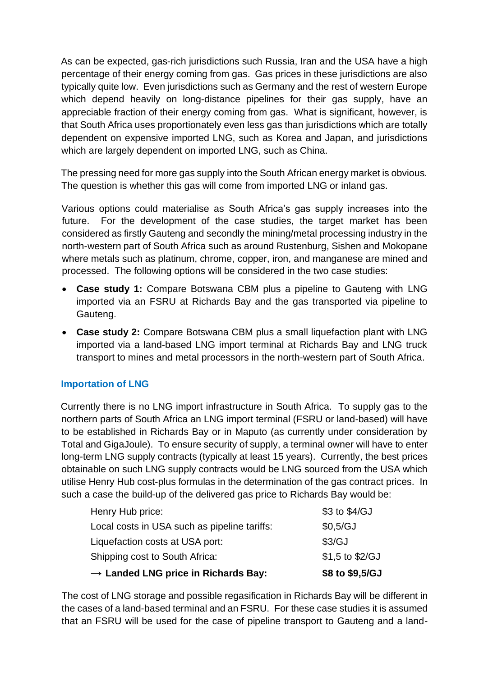As can be expected, gas-rich jurisdictions such Russia, Iran and the USA have a high percentage of their energy coming from gas. Gas prices in these jurisdictions are also typically quite low. Even jurisdictions such as Germany and the rest of western Europe which depend heavily on long-distance pipelines for their gas supply, have an appreciable fraction of their energy coming from gas. What is significant, however, is that South Africa uses proportionately even less gas than jurisdictions which are totally dependent on expensive imported LNG, such as Korea and Japan, and jurisdictions which are largely dependent on imported LNG, such as China.

The pressing need for more gas supply into the South African energy market is obvious. The question is whether this gas will come from imported LNG or inland gas.

Various options could materialise as South Africa's gas supply increases into the future. For the development of the case studies, the target market has been considered as firstly Gauteng and secondly the mining/metal processing industry in the north-western part of South Africa such as around Rustenburg, Sishen and Mokopane where metals such as platinum, chrome, copper, iron, and manganese are mined and processed. The following options will be considered in the two case studies:

- **Case study 1:** Compare Botswana CBM plus a pipeline to Gauteng with LNG imported via an FSRU at Richards Bay and the gas transported via pipeline to Gauteng.
- **Case study 2:** Compare Botswana CBM plus a small liquefaction plant with LNG imported via a land-based LNG import terminal at Richards Bay and LNG truck transport to mines and metal processors in the north-western part of South Africa.

### **Importation of LNG**

Currently there is no LNG import infrastructure in South Africa. To supply gas to the northern parts of South Africa an LNG import terminal (FSRU or land-based) will have to be established in Richards Bay or in Maputo (as currently under consideration by Total and GigaJoule). To ensure security of supply, a terminal owner will have to enter long-term LNG supply contracts (typically at least 15 years). Currently, the best prices obtainable on such LNG supply contracts would be LNG sourced from the USA which utilise Henry Hub cost-plus formulas in the determination of the gas contract prices. In such a case the build-up of the delivered gas price to Richards Bay would be:

| $\rightarrow$ Landed LNG price in Richards Bay: | \$8 to \$9,5/GJ   |
|-------------------------------------------------|-------------------|
| Shipping cost to South Africa:                  | $$1,5$ to $$2/GJ$ |
| Liquefaction costs at USA port:                 | \$3/GJ            |
| Local costs in USA such as pipeline tariffs:    | \$0,5/GJ          |
| Henry Hub price:                                | \$3 to \$4/GJ     |

The cost of LNG storage and possible regasification in Richards Bay will be different in the cases of a land-based terminal and an FSRU. For these case studies it is assumed that an FSRU will be used for the case of pipeline transport to Gauteng and a land-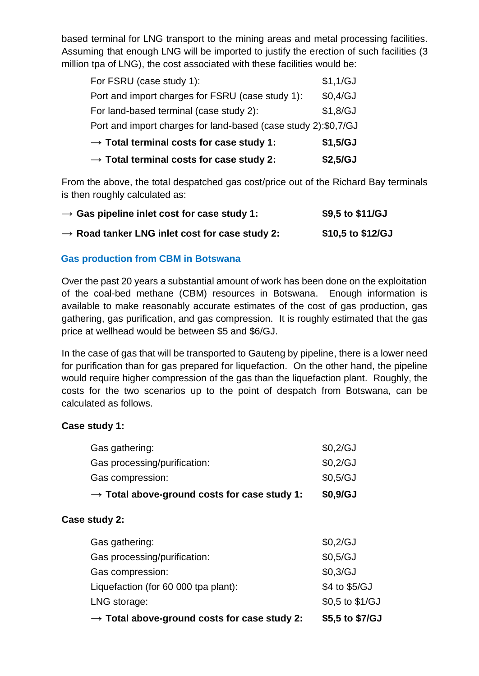based terminal for LNG transport to the mining areas and metal processing facilities. Assuming that enough LNG will be imported to justify the erection of such facilities (3 million tpa of LNG), the cost associated with these facilities would be:

| $\rightarrow$ Total terminal costs for case study 2:           | \$2,5/GJ |
|----------------------------------------------------------------|----------|
| $\rightarrow$ Total terminal costs for case study 1:           | \$1,5/GJ |
| Port and import charges for land-based (case study 2):\$0,7/GJ |          |
| For land-based terminal (case study 2):                        | \$1,8/GJ |
| Port and import charges for FSRU (case study 1):               | \$0,4/GJ |
| For FSRU (case study 1):                                       | \$1,1/GJ |

From the above, the total despatched gas cost/price out of the Richard Bay terminals is then roughly calculated as:

| $\rightarrow$ Gas pipeline inlet cost for case study 1:    | \$9,5 to \$11/GJ  |
|------------------------------------------------------------|-------------------|
| $\rightarrow$ Road tanker LNG inlet cost for case study 2: | \$10,5 to \$12/GJ |

### **Gas production from CBM in Botswana**

Over the past 20 years a substantial amount of work has been done on the exploitation of the coal-bed methane (CBM) resources in Botswana. Enough information is available to make reasonably accurate estimates of the cost of gas production, gas gathering, gas purification, and gas compression. It is roughly estimated that the gas price at wellhead would be between \$5 and \$6/GJ.

In the case of gas that will be transported to Gauteng by pipeline, there is a lower need for purification than for gas prepared for liquefaction. On the other hand, the pipeline would require higher compression of the gas than the liquefaction plant. Roughly, the costs for the two scenarios up to the point of despatch from Botswana, can be calculated as follows.

### **Case study 1:**

|                                      | $\rightarrow$ Total above-ground costs for case study 2: | \$5,5 to \$7/GJ   |
|--------------------------------------|----------------------------------------------------------|-------------------|
| LNG storage:                         |                                                          | $$0,5$ to $$1/GJ$ |
| Liquefaction (for 60 000 tpa plant): |                                                          | \$4 to \$5/GJ     |
| Gas compression:                     |                                                          | \$0,3/GJ          |
| Gas processing/purification:         |                                                          | \$0,5/GJ          |
| Gas gathering:                       |                                                          | \$0,2/GJ          |
| Case study 2:                        |                                                          |                   |
|                                      | $\rightarrow$ Total above-ground costs for case study 1: | \$0,9/GJ          |
| Gas compression:                     |                                                          | \$0,5/GJ          |
| Gas processing/purification:         |                                                          | \$0,2/GJ          |
| Gas gathering:                       |                                                          | \$0,2/GJ          |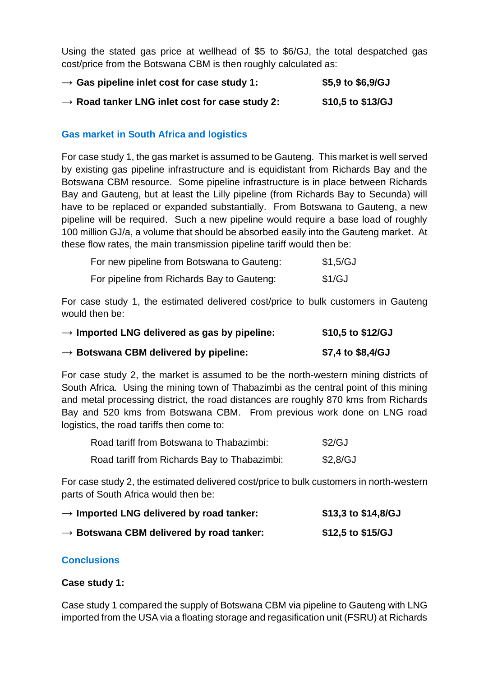Using the stated gas price at wellhead of \$5 to \$6/GJ, the total despatched gas cost/price from the Botswana CBM is then roughly calculated as:

| $\rightarrow$ Gas pipeline inlet cost for case study 1:    | \$5,9 to \$6,9/GJ |
|------------------------------------------------------------|-------------------|
| $\rightarrow$ Road tanker LNG inlet cost for case study 2: | \$10,5 to \$13/GJ |

### **Gas market in South Africa and logistics**

For case study 1, the gas market is assumed to be Gauteng. This market is well served by existing gas pipeline infrastructure and is equidistant from Richards Bay and the Botswana CBM resource. Some pipeline infrastructure is in place between Richards Bay and Gauteng, but at least the Lilly pipeline (from Richards Bay to Secunda) will have to be replaced or expanded substantially. From Botswana to Gauteng, a new pipeline will be required. Such a new pipeline would require a base load of roughly 100 million GJ/a, a volume that should be absorbed easily into the Gauteng market. At these flow rates, the main transmission pipeline tariff would then be:

| For new pipeline from Botswana to Gauteng: | \$1,5/GJ |
|--------------------------------------------|----------|
| For pipeline from Richards Bay to Gauteng: | \$1/GJ   |

For case study 1, the estimated delivered cost/price to bulk customers in Gauteng would then be:

| $\rightarrow$ Imported LNG delivered as gas by pipeline: | \$10,5 to \$12/GJ |
|----------------------------------------------------------|-------------------|
| $\rightarrow$ Botswana CBM delivered by pipeline:        | \$7,4 to \$8,4/GJ |

For case study 2, the market is assumed to be the north-western mining districts of South Africa. Using the mining town of Thabazimbi as the central point of this mining and metal processing district, the road distances are roughly 870 kms from Richards Bay and 520 kms from Botswana CBM. From previous work done on LNG road logistics, the road tariffs then come to:

| Road tariff from Botswana to Thabazimbi:     | \$2/GJ   |
|----------------------------------------------|----------|
| Road tariff from Richards Bay to Thabazimbi: | \$2,8/GJ |

For case study 2, the estimated delivered cost/price to bulk customers in north-western parts of South Africa would then be:

| $\rightarrow$ Imported LNG delivered by road tanker: | \$13,3 to \$14,8/GJ |
|------------------------------------------------------|---------------------|
| $\rightarrow$ Botswana CBM delivered by road tanker: | \$12,5 to \$15/GJ   |

### **Conclusions**

#### **Case study 1:**

Case study 1 compared the supply of Botswana CBM via pipeline to Gauteng with LNG imported from the USA via a floating storage and regasification unit (FSRU) at Richards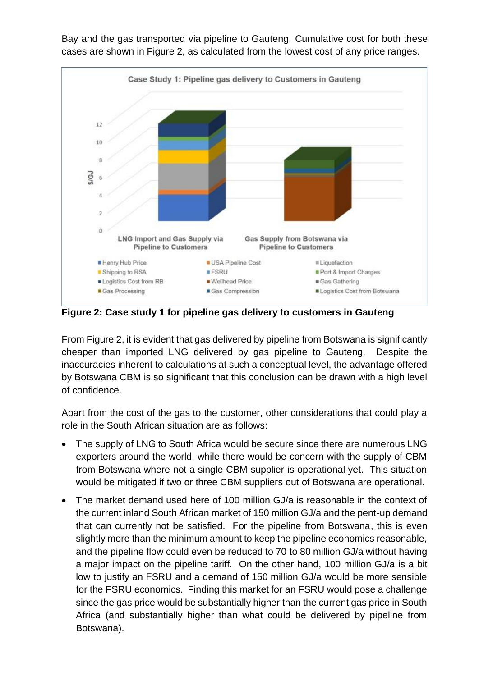

Bay and the gas transported via pipeline to Gauteng. Cumulative cost for both these cases are shown in Figure 2, as calculated from the lowest cost of any price ranges.

**Figure 2: Case study 1 for pipeline gas delivery to customers in Gauteng**

From Figure 2, it is evident that gas delivered by pipeline from Botswana is significantly cheaper than imported LNG delivered by gas pipeline to Gauteng. Despite the inaccuracies inherent to calculations at such a conceptual level, the advantage offered by Botswana CBM is so significant that this conclusion can be drawn with a high level of confidence.

Apart from the cost of the gas to the customer, other considerations that could play a role in the South African situation are as follows:

- The supply of LNG to South Africa would be secure since there are numerous LNG exporters around the world, while there would be concern with the supply of CBM from Botswana where not a single CBM supplier is operational yet. This situation would be mitigated if two or three CBM suppliers out of Botswana are operational.
- The market demand used here of 100 million GJ/a is reasonable in the context of the current inland South African market of 150 million GJ/a and the pent-up demand that can currently not be satisfied. For the pipeline from Botswana, this is even slightly more than the minimum amount to keep the pipeline economics reasonable, and the pipeline flow could even be reduced to 70 to 80 million GJ/a without having a major impact on the pipeline tariff. On the other hand, 100 million GJ/a is a bit low to justify an FSRU and a demand of 150 million GJ/a would be more sensible for the FSRU economics. Finding this market for an FSRU would pose a challenge since the gas price would be substantially higher than the current gas price in South Africa (and substantially higher than what could be delivered by pipeline from Botswana).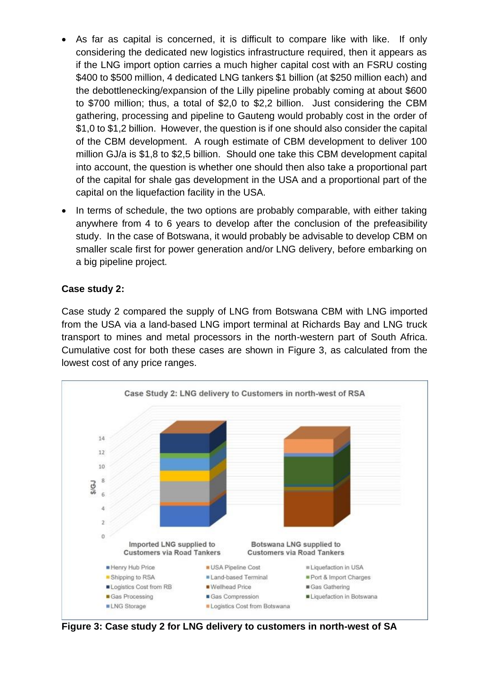- As far as capital is concerned, it is difficult to compare like with like. If only considering the dedicated new logistics infrastructure required, then it appears as if the LNG import option carries a much higher capital cost with an FSRU costing \$400 to \$500 million, 4 dedicated LNG tankers \$1 billion (at \$250 million each) and the debottlenecking/expansion of the Lilly pipeline probably coming at about \$600 to \$700 million; thus, a total of \$2,0 to \$2,2 billion. Just considering the CBM gathering, processing and pipeline to Gauteng would probably cost in the order of \$1,0 to \$1,2 billion. However, the question is if one should also consider the capital of the CBM development. A rough estimate of CBM development to deliver 100 million GJ/a is \$1,8 to \$2,5 billion. Should one take this CBM development capital into account, the question is whether one should then also take a proportional part of the capital for shale gas development in the USA and a proportional part of the capital on the liquefaction facility in the USA.
- In terms of schedule, the two options are probably comparable, with either taking anywhere from 4 to 6 years to develop after the conclusion of the prefeasibility study. In the case of Botswana, it would probably be advisable to develop CBM on smaller scale first for power generation and/or LNG delivery, before embarking on a big pipeline project.

### **Case study 2:**

Case study 2 compared the supply of LNG from Botswana CBM with LNG imported from the USA via a land-based LNG import terminal at Richards Bay and LNG truck transport to mines and metal processors in the north-western part of South Africa. Cumulative cost for both these cases are shown in Figure 3, as calculated from the lowest cost of any price ranges.



**Figure 3: Case study 2 for LNG delivery to customers in north-west of SA**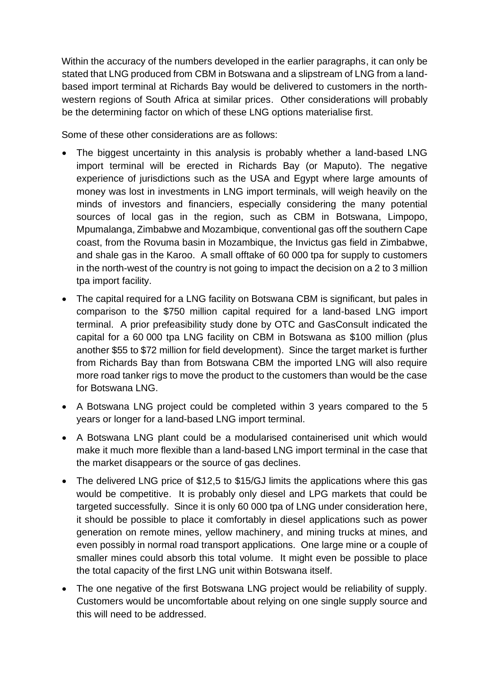Within the accuracy of the numbers developed in the earlier paragraphs, it can only be stated that LNG produced from CBM in Botswana and a slipstream of LNG from a landbased import terminal at Richards Bay would be delivered to customers in the northwestern regions of South Africa at similar prices. Other considerations will probably be the determining factor on which of these LNG options materialise first.

Some of these other considerations are as follows:

- The biggest uncertainty in this analysis is probably whether a land-based LNG import terminal will be erected in Richards Bay (or Maputo). The negative experience of jurisdictions such as the USA and Egypt where large amounts of money was lost in investments in LNG import terminals, will weigh heavily on the minds of investors and financiers, especially considering the many potential sources of local gas in the region, such as CBM in Botswana, Limpopo, Mpumalanga, Zimbabwe and Mozambique, conventional gas off the southern Cape coast, from the Rovuma basin in Mozambique, the Invictus gas field in Zimbabwe, and shale gas in the Karoo. A small offtake of 60 000 tpa for supply to customers in the north-west of the country is not going to impact the decision on a 2 to 3 million tpa import facility.
- The capital required for a LNG facility on Botswana CBM is significant, but pales in comparison to the \$750 million capital required for a land-based LNG import terminal. A prior prefeasibility study done by OTC and GasConsult indicated the capital for a 60 000 tpa LNG facility on CBM in Botswana as \$100 million (plus another \$55 to \$72 million for field development). Since the target market is further from Richards Bay than from Botswana CBM the imported LNG will also require more road tanker rigs to move the product to the customers than would be the case for Botswana LNG.
- A Botswana LNG project could be completed within 3 years compared to the 5 years or longer for a land-based LNG import terminal.
- A Botswana LNG plant could be a modularised containerised unit which would make it much more flexible than a land-based LNG import terminal in the case that the market disappears or the source of gas declines.
- The delivered LNG price of \$12,5 to \$15/GJ limits the applications where this gas would be competitive. It is probably only diesel and LPG markets that could be targeted successfully. Since it is only 60 000 tpa of LNG under consideration here, it should be possible to place it comfortably in diesel applications such as power generation on remote mines, yellow machinery, and mining trucks at mines, and even possibly in normal road transport applications. One large mine or a couple of smaller mines could absorb this total volume. It might even be possible to place the total capacity of the first LNG unit within Botswana itself.
- The one negative of the first Botswana LNG project would be reliability of supply. Customers would be uncomfortable about relying on one single supply source and this will need to be addressed.